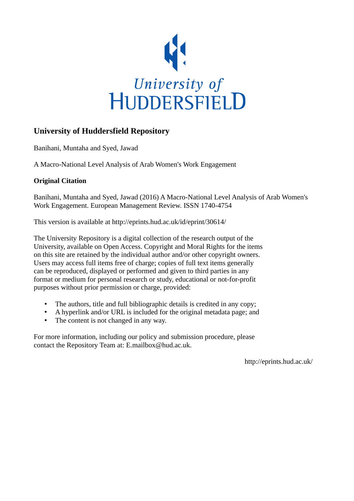

# **University of Huddersfield Repository**

Banihani, Muntaha and Syed, Jawad

A Macro-National Level Analysis of Arab Women's Work Engagement

# **Original Citation**

Banihani, Muntaha and Syed, Jawad (2016) A Macro-National Level Analysis of Arab Women's Work Engagement. European Management Review. ISSN 1740-4754

This version is available at http://eprints.hud.ac.uk/id/eprint/30614/

The University Repository is a digital collection of the research output of the University, available on Open Access. Copyright and Moral Rights for the items on this site are retained by the individual author and/or other copyright owners. Users may access full items free of charge; copies of full text items generally can be reproduced, displayed or performed and given to third parties in any format or medium for personal research or study, educational or not-for-profit purposes without prior permission or charge, provided:

- The authors, title and full bibliographic details is credited in any copy;
- A hyperlink and/or URL is included for the original metadata page; and
- The content is not changed in any way.

For more information, including our policy and submission procedure, please contact the Repository Team at: E.mailbox@hud.ac.uk.

http://eprints.hud.ac.uk/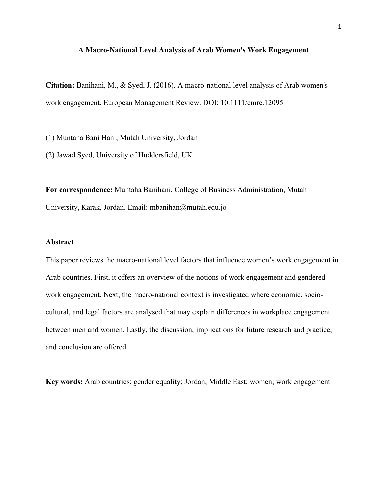#### **A Macro-National Level Analysis of Arab Women's Work Engagement**

**Citation:** Banihani, M., & Syed, J. (2016). A macro-national level analysis of Arab women's work engagement. European Management Review. DOI: 10.1111/emre.12095

(1) Muntaha Bani Hani, Mutah University, Jordan

(2) Jawad Syed, University of Huddersfield, UK

**For correspondence:** Muntaha Banihani, College of Business Administration, Mutah University, Karak, Jordan. Email: mbanihan@mutah.edu.jo

#### **Abstract**

This paper reviews the macro-national level factors that influence women's work engagement in Arab countries. First, it offers an overview of the notions of work engagement and gendered work engagement. Next, the macro-national context is investigated where economic, sociocultural, and legal factors are analysed that may explain differences in workplace engagement between men and women. Lastly, the discussion, implications for future research and practice, and conclusion are offered.

**Key words:** Arab countries; gender equality; Jordan; Middle East; women; work engagement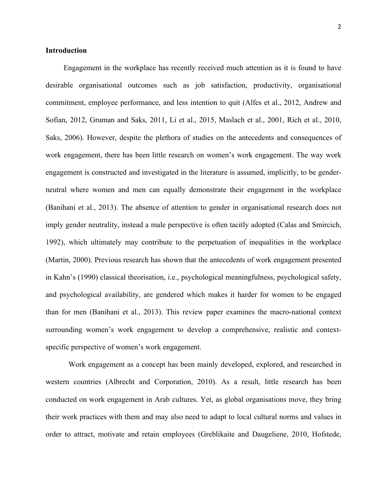#### **Introduction**

Engagement in the workplace has recently received much attention as it is found to have desirable organisational outcomes such as job satisfaction, productivity, organisational commitment, employee performance, and less intention to quit (Alfes et al., 2012, Andrew and Sofian, 2012, Gruman and Saks, 2011, Li et al., 2015, Maslach et al., 2001, Rich et al., 2010, Saks, 2006). However, despite the plethora of studies on the antecedents and consequences of work engagement, there has been little research on women's work engagement. The way work engagement is constructed and investigated in the literature is assumed, implicitly, to be genderneutral where women and men can equally demonstrate their engagement in the workplace (Banihani et al., 2013). The absence of attention to gender in organisational research does not imply gender neutrality, instead a male perspective is often tacitly adopted (Calas and Smircich, 1992), which ultimately may contribute to the perpetuation of inequalities in the workplace (Martin, 2000). Previous research has shown that the antecedents of work engagement presented in Kahn's (1990) classical theorisation, i.e., psychological meaningfulness, psychological safety, and psychological availability, are gendered which makes it harder for women to be engaged than for men (Banihani et al., 2013). This review paper examines the macro-national context surrounding women's work engagement to develop a comprehensive, realistic and contextspecific perspective of women's work engagement.

Work engagement as a concept has been mainly developed, explored, and researched in western countries (Albrecht and Corporation, 2010). As a result, little research has been conducted on work engagement in Arab cultures. Yet, as global organisations move, they bring their work practices with them and may also need to adapt to local cultural norms and values in order to attract, motivate and retain employees (Greblikaite and Daugeliene, 2010, Hofstede,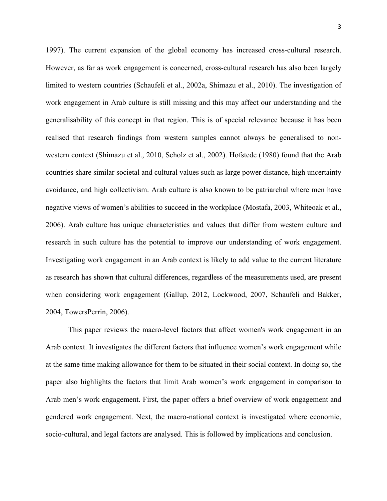1997). The current expansion of the global economy has increased cross-cultural research. However, as far as work engagement is concerned, cross-cultural research has also been largely limited to western countries (Schaufeli et al., 2002a, Shimazu et al., 2010). The investigation of work engagement in Arab culture is still missing and this may affect our understanding and the generalisability of this concept in that region. This is of special relevance because it has been realised that research findings from western samples cannot always be generalised to nonwestern context (Shimazu et al., 2010, Scholz et al., 2002). Hofstede (1980) found that the Arab countries share similar societal and cultural values such as large power distance, high uncertainty avoidance, and high collectivism. Arab culture is also known to be patriarchal where men have negative views of women's abilities to succeed in the workplace (Mostafa, 2003, Whiteoak et al., 2006). Arab culture has unique characteristics and values that differ from western culture and research in such culture has the potential to improve our understanding of work engagement. Investigating work engagement in an Arab context is likely to add value to the current literature as research has shown that cultural differences, regardless of the measurements used, are present when considering work engagement (Gallup, 2012, Lockwood, 2007, Schaufeli and Bakker, 2004, TowersPerrin, 2006).

This paper reviews the macro-level factors that affect women's work engagement in an Arab context. It investigates the different factors that influence women's work engagement while at the same time making allowance for them to be situated in their social context. In doing so, the paper also highlights the factors that limit Arab women's work engagement in comparison to Arab men's work engagement. First, the paper offers a brief overview of work engagement and gendered work engagement. Next, the macro-national context is investigated where economic, socio-cultural, and legal factors are analysed. This is followed by implications and conclusion.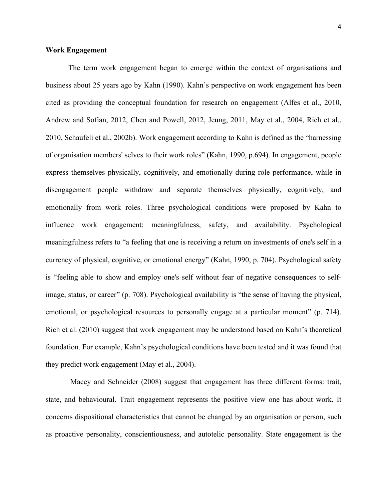#### **Work Engagement**

The term work engagement began to emerge within the context of organisations and business about 25 years ago by Kahn (1990). Kahn's perspective on work engagement has been cited as providing the conceptual foundation for research on engagement (Alfes et al., 2010, Andrew and Sofian, 2012, Chen and Powell, 2012, Jeung, 2011, May et al., 2004, Rich et al., 2010, Schaufeli et al., 2002b). Work engagement according to Kahn is defined as the "harnessing of organisation members' selves to their work roles" (Kahn, 1990, p.694). In engagement, people express themselves physically, cognitively, and emotionally during role performance, while in disengagement people withdraw and separate themselves physically, cognitively, and emotionally from work roles. Three psychological conditions were proposed by Kahn to influence work engagement: meaningfulness, safety, and availability. Psychological meaningfulness refers to "a feeling that one is receiving a return on investments of one's self in a currency of physical, cognitive, or emotional energy" (Kahn, 1990, p. 704). Psychological safety is "feeling able to show and employ one's self without fear of negative consequences to selfimage, status, or career" (p. 708). Psychological availability is "the sense of having the physical, emotional, or psychological resources to personally engage at a particular moment" (p. 714). Rich et al. (2010) suggest that work engagement may be understood based on Kahn's theoretical foundation. For example, Kahn's psychological conditions have been tested and it was found that they predict work engagement (May et al., 2004).

Macey and Schneider (2008) suggest that engagement has three different forms: trait, state, and behavioural. Trait engagement represents the positive view one has about work. It concerns dispositional characteristics that cannot be changed by an organisation or person, such as proactive personality, conscientiousness, and autotelic personality. State engagement is the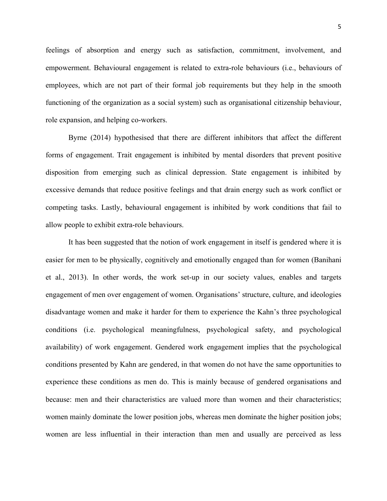feelings of absorption and energy such as satisfaction, commitment, involvement, and empowerment. Behavioural engagement is related to extra-role behaviours (i.e., behaviours of employees, which are not part of their formal job requirements but they help in the smooth functioning of the organization as a social system) such as organisational citizenship behaviour, role expansion, and helping co-workers.

Byrne (2014) hypothesised that there are different inhibitors that affect the different forms of engagement. Trait engagement is inhibited by mental disorders that prevent positive disposition from emerging such as clinical depression. State engagement is inhibited by excessive demands that reduce positive feelings and that drain energy such as work conflict or competing tasks. Lastly, behavioural engagement is inhibited by work conditions that fail to allow people to exhibit extra-role behaviours.

It has been suggested that the notion of work engagement in itself is gendered where it is easier for men to be physically, cognitively and emotionally engaged than for women (Banihani et al., 2013). In other words, the work set-up in our society values, enables and targets engagement of men over engagement of women. Organisations' structure, culture, and ideologies disadvantage women and make it harder for them to experience the Kahn's three psychological conditions (i.e. psychological meaningfulness, psychological safety, and psychological availability) of work engagement. Gendered work engagement implies that the psychological conditions presented by Kahn are gendered, in that women do not have the same opportunities to experience these conditions as men do. This is mainly because of gendered organisations and because: men and their characteristics are valued more than women and their characteristics; women mainly dominate the lower position jobs, whereas men dominate the higher position jobs; women are less influential in their interaction than men and usually are perceived as less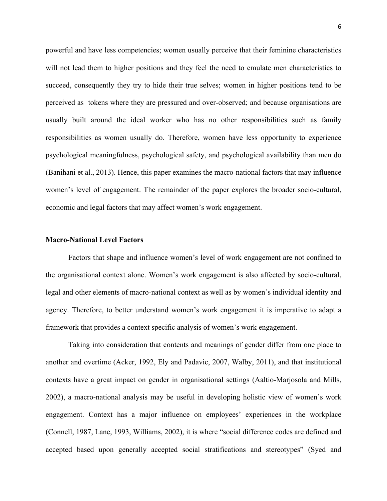powerful and have less competencies; women usually perceive that their feminine characteristics will not lead them to higher positions and they feel the need to emulate men characteristics to succeed, consequently they try to hide their true selves; women in higher positions tend to be perceived as tokens where they are pressured and over-observed; and because organisations are usually built around the ideal worker who has no other responsibilities such as family responsibilities as women usually do. Therefore, women have less opportunity to experience psychological meaningfulness, psychological safety, and psychological availability than men do (Banihani et al., 2013). Hence, this paper examines the macro-national factors that may influence women's level of engagement. The remainder of the paper explores the broader socio-cultural, economic and legal factors that may affect women's work engagement.

#### **Macro-National Level Factors**

Factors that shape and influence women's level of work engagement are not confined to the organisational context alone. Women's work engagement is also affected by socio-cultural, legal and other elements of macro-national context as well as by women's individual identity and agency. Therefore, to better understand women's work engagement it is imperative to adapt a framework that provides a context specific analysis of women's work engagement.

Taking into consideration that contents and meanings of gender differ from one place to another and overtime (Acker, 1992, Ely and Padavic, 2007, Walby, 2011), and that institutional contexts have a great impact on gender in organisational settings (Aaltio-Marjosola and Mills, 2002), a macro-national analysis may be useful in developing holistic view of women's work engagement. Context has a major influence on employees' experiences in the workplace (Connell, 1987, Lane, 1993, Williams, 2002), it is where "social difference codes are defined and accepted based upon generally accepted social stratifications and stereotypes" (Syed and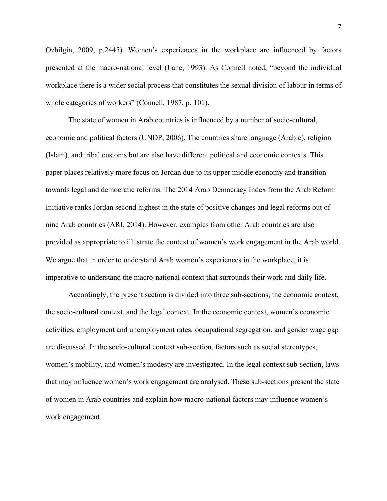Ozbilgin, 2009, p.2445). Women's experiences in the workplace are influenced by factors presented at the macro-national level (Lane, 1993). As Connell noted, "beyond the individual workplace there is a wider social process that constitutes the sexual division of labour in terms of whole categories of workers" (Connell, 1987, p. 101).

The state of women in Arab countries is influenced by a number of socio-cultural, economic and political factors (UNDP, 2006). The countries share language (Arabic), religion (Islam), and tribal customs but are also have different political and economic contexts. This paper places relatively more focus on Jordan due to its upper middle economy and transition towards legal and democratic reforms. The 2014 Arab Democracy Index from the Arab Reform Initiative ranks Jordan second highest in the state of positive changes and legal reforms out of nine Arab countries (ARI, 2014). However, examples from other Arab countries are also provided as appropriate to illustrate the context of women's work engagement in the Arab world. We argue that in order to understand Arab women's experiences in the workplace, it is imperative to understand the macro-national context that surrounds their work and daily life.

Accordingly, the present section is divided into three sub-sections, the economic context, the socio-cultural context, and the legal context. In the economic context, women's economic activities, employment and unemployment rates, occupational segregation, and gender wage gap are discussed. In the socio-cultural context sub-section, factors such as social stereotypes, women's mobility, and women's modesty are investigated. In the legal context sub-section, laws that may influence women's work engagement are analysed. These sub-sections present the state of women in Arab countries and explain how macro-national factors may influence women's work engagement.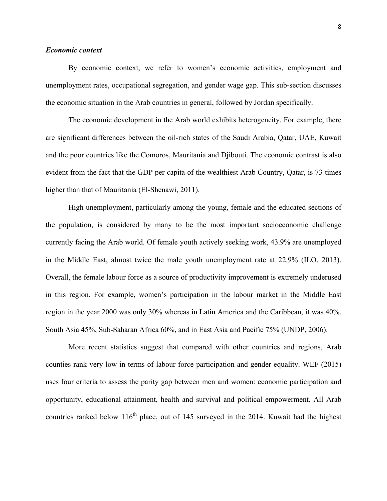#### *Economic context*

By economic context, we refer to women's economic activities, employment and unemployment rates, occupational segregation, and gender wage gap. This sub-section discusses the economic situation in the Arab countries in general, followed by Jordan specifically.

The economic development in the Arab world exhibits heterogeneity. For example, there are significant differences between the oil-rich states of the Saudi Arabia, Qatar, UAE, Kuwait and the poor countries like the Comoros, Mauritania and Djibouti. The economic contrast is also evident from the fact that the GDP per capita of the wealthiest Arab Country, Qatar, is 73 times higher than that of Mauritania (El-Shenawi, 2011).

High unemployment, particularly among the young, female and the educated sections of the population, is considered by many to be the most important socioeconomic challenge currently facing the Arab world. Of female youth actively seeking work, 43.9% are unemployed in the Middle East, almost twice the male youth unemployment rate at 22.9% (ILO, 2013). Overall, the female labour force as a source of productivity improvement is extremely underused in this region. For example, women's participation in the labour market in the Middle East region in the year 2000 was only 30% whereas in Latin America and the Caribbean, it was 40%, South Asia 45%, Sub-Saharan Africa 60%, and in East Asia and Pacific 75% (UNDP, 2006).

More recent statistics suggest that compared with other countries and regions, Arab counties rank very low in terms of labour force participation and gender equality. WEF (2015) uses four criteria to assess the parity gap between men and women: economic participation and opportunity, educational attainment, health and survival and political empowerment. All Arab countries ranked below  $116<sup>th</sup>$  place, out of 145 surveyed in the 2014. Kuwait had the highest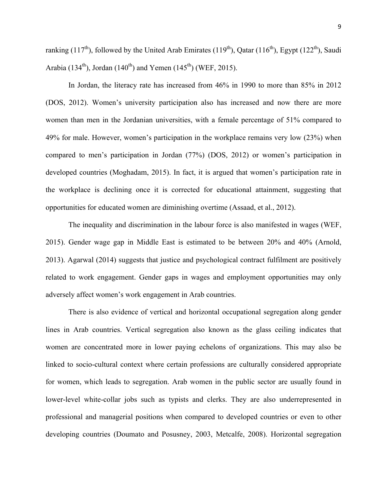ranking (117<sup>th</sup>), followed by the United Arab Emirates (119<sup>th</sup>), Qatar (116<sup>th</sup>), Egypt (122<sup>th</sup>), Saudi Arabia (134<sup>th</sup>), Jordan (140<sup>th</sup>) and Yemen (145<sup>th</sup>) (WEF, 2015).

In Jordan, the literacy rate has increased from 46% in 1990 to more than 85% in 2012 (DOS, 2012). Women's university participation also has increased and now there are more women than men in the Jordanian universities, with a female percentage of 51% compared to 49% for male. However, women's participation in the workplace remains very low (23%) when compared to men's participation in Jordan (77%) (DOS, 2012) or women's participation in developed countries (Moghadam, 2015). In fact, it is argued that women's participation rate in the workplace is declining once it is corrected for educational attainment, suggesting that opportunities for educated women are diminishing overtime (Assaad, et al., 2012).

The inequality and discrimination in the labour force is also manifested in wages (WEF, 2015). Gender wage gap in Middle East is estimated to be between 20% and 40% (Arnold, 2013). Agarwal (2014) suggests that justice and psychological contract fulfilment are positively related to work engagement. Gender gaps in wages and employment opportunities may only adversely affect women's work engagement in Arab countries.

There is also evidence of vertical and horizontal occupational segregation along gender lines in Arab countries. Vertical segregation also known as the glass ceiling indicates that women are concentrated more in lower paying echelons of organizations. This may also be linked to socio-cultural context where certain professions are culturally considered appropriate for women, which leads to segregation. Arab women in the public sector are usually found in lower-level white-collar jobs such as typists and clerks. They are also underrepresented in professional and managerial positions when compared to developed countries or even to other developing countries (Doumato and Posusney, 2003, Metcalfe, 2008). Horizontal segregation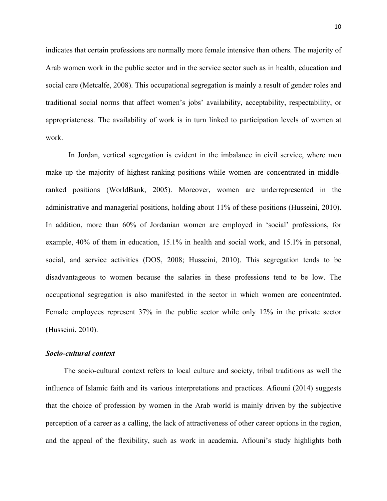indicates that certain professions are normally more female intensive than others. The majority of Arab women work in the public sector and in the service sector such as in health, education and social care (Metcalfe, 2008). This occupational segregation is mainly a result of gender roles and traditional social norms that affect women's jobs' availability, acceptability, respectability, or appropriateness. The availability of work is in turn linked to participation levels of women at work.

In Jordan, vertical segregation is evident in the imbalance in civil service, where men make up the majority of highest-ranking positions while women are concentrated in middleranked positions (WorldBank, 2005). Moreover, women are underrepresented in the administrative and managerial positions, holding about 11% of these positions (Husseini, 2010). In addition, more than 60% of Jordanian women are employed in 'social' professions, for example, 40% of them in education, 15.1% in health and social work, and 15.1% in personal, social, and service activities (DOS, 2008; Husseini, 2010). This segregation tends to be disadvantageous to women because the salaries in these professions tend to be low. The occupational segregation is also manifested in the sector in which women are concentrated. Female employees represent 37% in the public sector while only 12% in the private sector (Husseini, 2010).

#### *Socio-cultural context*

The socio-cultural context refers to local culture and society, tribal traditions as well the influence of Islamic faith and its various interpretations and practices. Afiouni (2014) suggests that the choice of profession by women in the Arab world is mainly driven by the subjective perception of a career as a calling, the lack of attractiveness of other career options in the region, and the appeal of the flexibility, such as work in academia. Afiouni's study highlights both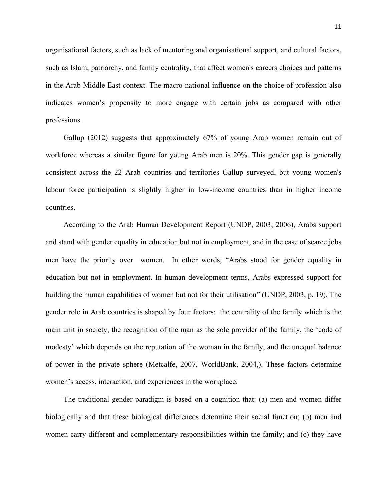organisational factors, such as lack of mentoring and organisational support, and cultural factors, such as Islam, patriarchy, and family centrality, that affect women's careers choices and patterns in the Arab Middle East context. The macro-national influence on the choice of profession also indicates women's propensity to more engage with certain jobs as compared with other professions.

Gallup (2012) suggests that approximately 67% of young Arab women remain out of workforce whereas a similar figure for young Arab men is 20%. This gender gap is generally consistent across the 22 Arab countries and territories Gallup surveyed, but young women's labour force participation is slightly higher in low-income countries than in higher income countries.

According to the Arab Human Development Report (UNDP, 2003; 2006), Arabs support and stand with gender equality in education but not in employment, and in the case of scarce jobs men have the priority over women. In other words, "Arabs stood for gender equality in education but not in employment. In human development terms, Arabs expressed support for building the human capabilities of women but not for their utilisation" (UNDP, 2003, p. 19). The gender role in Arab countries is shaped by four factors: the centrality of the family which is the main unit in society, the recognition of the man as the sole provider of the family, the 'code of modesty' which depends on the reputation of the woman in the family, and the unequal balance of power in the private sphere (Metcalfe, 2007, WorldBank, 2004,). These factors determine women's access, interaction, and experiences in the workplace.

The traditional gender paradigm is based on a cognition that: (a) men and women differ biologically and that these biological differences determine their social function; (b) men and women carry different and complementary responsibilities within the family; and (c) they have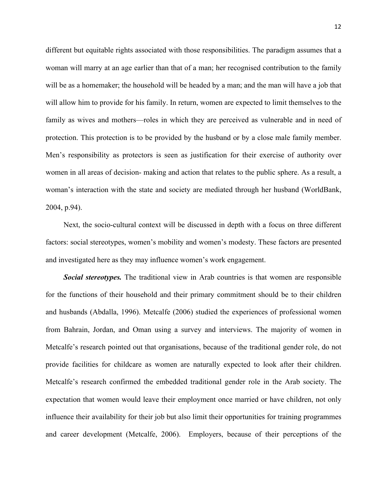different but equitable rights associated with those responsibilities. The paradigm assumes that a woman will marry at an age earlier than that of a man; her recognised contribution to the family will be as a homemaker; the household will be headed by a man; and the man will have a job that will allow him to provide for his family. In return, women are expected to limit themselves to the family as wives and mothers—roles in which they are perceived as vulnerable and in need of protection. This protection is to be provided by the husband or by a close male family member. Men's responsibility as protectors is seen as justification for their exercise of authority over women in all areas of decision- making and action that relates to the public sphere. As a result, a woman's interaction with the state and society are mediated through her husband (WorldBank, 2004, p.94).

Next, the socio-cultural context will be discussed in depth with a focus on three different factors: social stereotypes, women's mobility and women's modesty. These factors are presented and investigated here as they may influence women's work engagement.

*Social stereotypes.* The traditional view in Arab countries is that women are responsible for the functions of their household and their primary commitment should be to their children and husbands (Abdalla, 1996). Metcalfe (2006) studied the experiences of professional women from Bahrain, Jordan, and Oman using a survey and interviews. The majority of women in Metcalfe's research pointed out that organisations, because of the traditional gender role, do not provide facilities for childcare as women are naturally expected to look after their children. Metcalfe's research confirmed the embedded traditional gender role in the Arab society. The expectation that women would leave their employment once married or have children, not only influence their availability for their job but also limit their opportunities for training programmes and career development (Metcalfe, 2006). Employers, because of their perceptions of the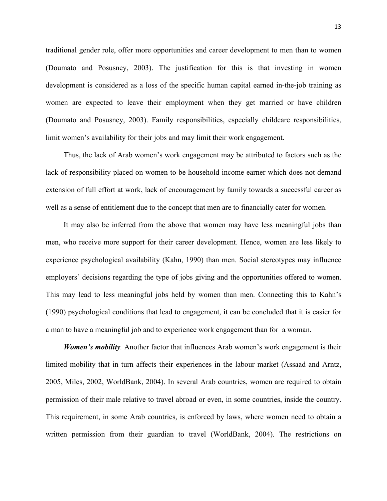traditional gender role, offer more opportunities and career development to men than to women (Doumato and Posusney, 2003). The justification for this is that investing in women development is considered as a loss of the specific human capital earned in-the-job training as women are expected to leave their employment when they get married or have children (Doumato and Posusney, 2003). Family responsibilities, especially childcare responsibilities, limit women's availability for their jobs and may limit their work engagement.

Thus, the lack of Arab women's work engagement may be attributed to factors such as the lack of responsibility placed on women to be household income earner which does not demand extension of full effort at work, lack of encouragement by family towards a successful career as well as a sense of entitlement due to the concept that men are to financially cater for women.

It may also be inferred from the above that women may have less meaningful jobs than men, who receive more support for their career development. Hence, women are less likely to experience psychological availability (Kahn, 1990) than men. Social stereotypes may influence employers' decisions regarding the type of jobs giving and the opportunities offered to women. This may lead to less meaningful jobs held by women than men. Connecting this to Kahn's (1990) psychological conditions that lead to engagement, it can be concluded that it is easier for a man to have a meaningful job and to experience work engagement than for a woman.

*Women's mobility.* Another factor that influences Arab women's work engagement is their limited mobility that in turn affects their experiences in the labour market (Assaad and Arntz, 2005, Miles, 2002, WorldBank, 2004). In several Arab countries, women are required to obtain permission of their male relative to travel abroad or even, in some countries, inside the country. This requirement, in some Arab countries, is enforced by laws, where women need to obtain a written permission from their guardian to travel (WorldBank, 2004). The restrictions on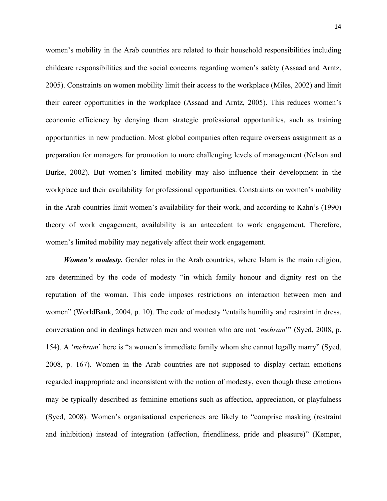women's mobility in the Arab countries are related to their household responsibilities including childcare responsibilities and the social concerns regarding women's safety (Assaad and Arntz, 2005). Constraints on women mobility limit their access to the workplace (Miles, 2002) and limit their career opportunities in the workplace (Assaad and Arntz, 2005). This reduces women's economic efficiency by denying them strategic professional opportunities, such as training opportunities in new production. Most global companies often require overseas assignment as a preparation for managers for promotion to more challenging levels of management (Nelson and Burke, 2002). But women's limited mobility may also influence their development in the workplace and their availability for professional opportunities. Constraints on women's mobility in the Arab countries limit women's availability for their work, and according to Kahn's (1990) theory of work engagement, availability is an antecedent to work engagement. Therefore, women's limited mobility may negatively affect their work engagement.

*Women's modesty.* Gender roles in the Arab countries, where Islam is the main religion, are determined by the code of modesty "in which family honour and dignity rest on the reputation of the woman. This code imposes restrictions on interaction between men and women" (WorldBank, 2004, p. 10). The code of modesty "entails humility and restraint in dress, conversation and in dealings between men and women who are not '*mehram*'" (Syed, 2008, p. 154). A '*mehram*' here is "a women's immediate family whom she cannot legally marry" (Syed, 2008, p. 167). Women in the Arab countries are not supposed to display certain emotions regarded inappropriate and inconsistent with the notion of modesty, even though these emotions may be typically described as feminine emotions such as affection, appreciation, or playfulness (Syed, 2008). Women's organisational experiences are likely to "comprise masking (restraint and inhibition) instead of integration (affection, friendliness, pride and pleasure)" (Kemper,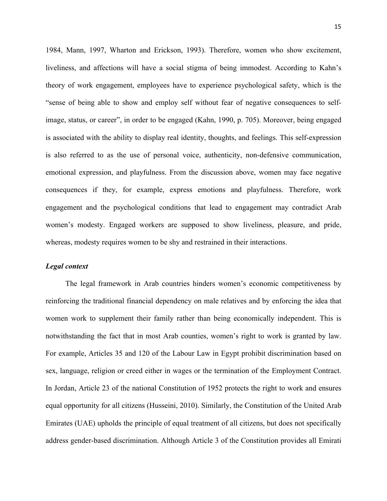1984, Mann, 1997, Wharton and Erickson, 1993). Therefore, women who show excitement, liveliness, and affections will have a social stigma of being immodest. According to Kahn's theory of work engagement, employees have to experience psychological safety, which is the "sense of being able to show and employ self without fear of negative consequences to selfimage, status, or career", in order to be engaged (Kahn, 1990, p. 705). Moreover, being engaged is associated with the ability to display real identity, thoughts, and feelings. This self-expression is also referred to as the use of personal voice, authenticity, non-defensive communication, emotional expression, and playfulness. From the discussion above, women may face negative consequences if they, for example, express emotions and playfulness. Therefore, work engagement and the psychological conditions that lead to engagement may contradict Arab women's modesty. Engaged workers are supposed to show liveliness, pleasure, and pride, whereas, modesty requires women to be shy and restrained in their interactions.

#### *Legal context*

The legal framework in Arab countries hinders women's economic competitiveness by reinforcing the traditional financial dependency on male relatives and by enforcing the idea that women work to supplement their family rather than being economically independent. This is notwithstanding the fact that in most Arab counties, women's right to work is granted by law. For example, Articles 35 and 120 of the Labour Law in Egypt prohibit discrimination based on sex, language, religion or creed either in wages or the termination of the Employment Contract. In Jordan, Article 23 of the national Constitution of 1952 protects the right to work and ensures equal opportunity for all citizens (Husseini, 2010). Similarly, the Constitution of the United Arab Emirates (UAE) upholds the principle of equal treatment of all citizens, but does not specifically address gender-based discrimination. Although Article 3 of the Constitution provides all Emirati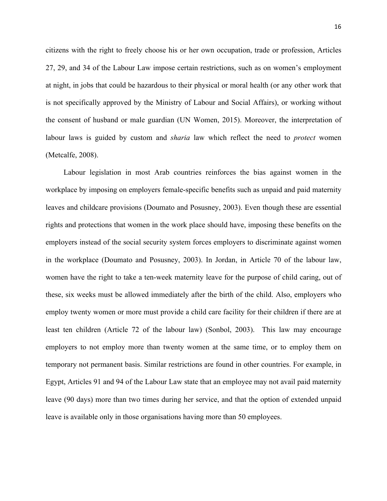citizens with the right to freely choose his or her own occupation, trade or profession, Articles 27, 29, and 34 of the Labour Law impose certain restrictions, such as on women's employment at night, in jobs that could be hazardous to their physical or moral health (or any other work that is not specifically approved by the Ministry of Labour and Social Affairs), or working without the consent of husband or male guardian (UN Women, 2015). Moreover, the interpretation of labour laws is guided by custom and *sharia* law which reflect the need to *protect* women (Metcalfe, 2008).

Labour legislation in most Arab countries reinforces the bias against women in the workplace by imposing on employers female-specific benefits such as unpaid and paid maternity leaves and childcare provisions (Doumato and Posusney, 2003). Even though these are essential rights and protections that women in the work place should have, imposing these benefits on the employers instead of the social security system forces employers to discriminate against women in the workplace (Doumato and Posusney, 2003). In Jordan, in Article 70 of the labour law, women have the right to take a ten-week maternity leave for the purpose of child caring, out of these, six weeks must be allowed immediately after the birth of the child. Also, employers who employ twenty women or more must provide a child care facility for their children if there are at least ten children (Article 72 of the labour law) (Sonbol, 2003). This law may encourage employers to not employ more than twenty women at the same time, or to employ them on temporary not permanent basis. Similar restrictions are found in other countries. For example, in Egypt, Articles 91 and 94 of the Labour Law state that an employee may not avail paid maternity leave (90 days) more than two times during her service, and that the option of extended unpaid leave is available only in those organisations having more than 50 employees.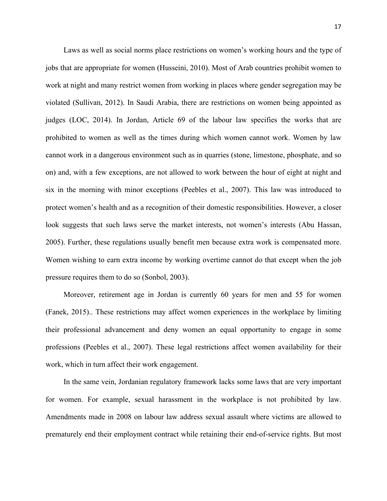Laws as well as social norms place restrictions on women's working hours and the type of jobs that are appropriate for women (Husseini, 2010). Most of Arab countries prohibit women to work at night and many restrict women from working in places where gender segregation may be violated (Sullivan, 2012). In Saudi Arabia, there are restrictions on women being appointed as judges (LOC, 2014). In Jordan, Article 69 of the labour law specifies the works that are prohibited to women as well as the times during which women cannot work. Women by law cannot work in a dangerous environment such as in quarries (stone, limestone, phosphate, and so on) and, with a few exceptions, are not allowed to work between the hour of eight at night and six in the morning with minor exceptions (Peebles et al., 2007). This law was introduced to protect women's health and as a recognition of their domestic responsibilities. However, a closer look suggests that such laws serve the market interests, not women's interests (Abu Hassan, 2005). Further, these regulations usually benefit men because extra work is compensated more. Women wishing to earn extra income by working overtime cannot do that except when the job pressure requires them to do so (Sonbol, 2003).

Moreover, retirement age in Jordan is currently 60 years for men and 55 for women (Fanek, 2015).. These restrictions may affect women experiences in the workplace by limiting their professional advancement and deny women an equal opportunity to engage in some professions (Peebles et al., 2007). These legal restrictions affect women availability for their work, which in turn affect their work engagement.

In the same vein, Jordanian regulatory framework lacks some laws that are very important for women. For example, sexual harassment in the workplace is not prohibited by law. Amendments made in 2008 on labour law address sexual assault where victims are allowed to prematurely end their employment contract while retaining their end-of-service rights. But most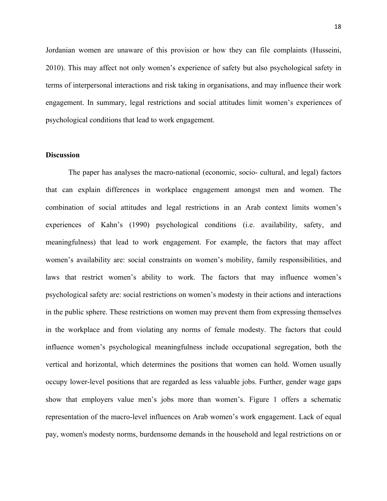Jordanian women are unaware of this provision or how they can file complaints (Husseini, 2010). This may affect not only women's experience of safety but also psychological safety in terms of interpersonal interactions and risk taking in organisations, and may influence their work engagement. In summary, legal restrictions and social attitudes limit women's experiences of psychological conditions that lead to work engagement.

#### **Discussion**

The paper has analyses the macro-national (economic, socio- cultural, and legal) factors that can explain differences in workplace engagement amongst men and women. The combination of social attitudes and legal restrictions in an Arab context limits women's experiences of Kahn's (1990) psychological conditions (i.e. availability, safety, and meaningfulness) that lead to work engagement. For example, the factors that may affect women's availability are: social constraints on women's mobility, family responsibilities, and laws that restrict women's ability to work. The factors that may influence women's psychological safety are: social restrictions on women's modesty in their actions and interactions in the public sphere. These restrictions on women may prevent them from expressing themselves in the workplace and from violating any norms of female modesty. The factors that could influence women's psychological meaningfulness include occupational segregation, both the vertical and horizontal, which determines the positions that women can hold. Women usually occupy lower-level positions that are regarded as less valuable jobs. Further, gender wage gaps show that employers value men's jobs more than women's. Figure 1 offers a schematic representation of the macro-level influences on Arab women's work engagement. Lack of equal pay, women's modesty norms, burdensome demands in the household and legal restrictions on or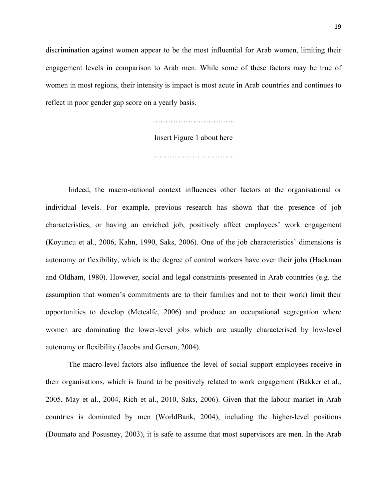discrimination against women appear to be the most influential for Arab women, limiting their engagement levels in comparison to Arab men. While some of these factors may be true of women in most regions, their intensity is impact is most acute in Arab countries and continues to reflect in poor gender gap score on a yearly basis.

### Insert Figure 1 about here

……………………………

Indeed, the macro-national context influences other factors at the organisational or individual levels. For example, previous research has shown that the presence of job characteristics, or having an enriched job, positively affect employees' work engagement (Koyuncu et al., 2006, Kahn, 1990, Saks, 2006). One of the job characteristics' dimensions is autonomy or flexibility, which is the degree of control workers have over their jobs (Hackman and Oldham, 1980). However, social and legal constraints presented in Arab countries (e.g. the assumption that women's commitments are to their families and not to their work) limit their opportunities to develop (Metcalfe, 2006) and produce an occupational segregation where women are dominating the lower-level jobs which are usually characterised by low-level autonomy or flexibility (Jacobs and Gerson, 2004).

The macro-level factors also influence the level of social support employees receive in their organisations, which is found to be positively related to work engagement (Bakker et al., 2005, May et al., 2004, Rich et al., 2010, Saks, 2006). Given that the labour market in Arab countries is dominated by men (WorldBank, 2004), including the higher-level positions (Doumato and Posusney, 2003), it is safe to assume that most supervisors are men. In the Arab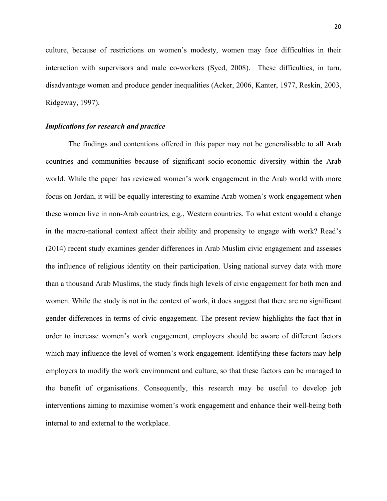culture, because of restrictions on women's modesty, women may face difficulties in their interaction with supervisors and male co-workers (Syed, 2008). These difficulties, in turn, disadvantage women and produce gender inequalities (Acker, 2006, Kanter, 1977, Reskin, 2003, Ridgeway, 1997).

## *Implications for research and practice*

The findings and contentions offered in this paper may not be generalisable to all Arab countries and communities because of significant socio-economic diversity within the Arab world. While the paper has reviewed women's work engagement in the Arab world with more focus on Jordan, it will be equally interesting to examine Arab women's work engagement when these women live in non-Arab countries, e.g., Western countries. To what extent would a change in the macro-national context affect their ability and propensity to engage with work? Read's (2014) recent study examines gender differences in Arab Muslim civic engagement and assesses the influence of religious identity on their participation. Using national survey data with more than a thousand Arab Muslims, the study finds high levels of civic engagement for both men and women. While the study is not in the context of work, it does suggest that there are no significant gender differences in terms of civic engagement. The present review highlights the fact that in order to increase women's work engagement, employers should be aware of different factors which may influence the level of women's work engagement. Identifying these factors may help employers to modify the work environment and culture, so that these factors can be managed to the benefit of organisations. Consequently, this research may be useful to develop job interventions aiming to maximise women's work engagement and enhance their well-being both internal to and external to the workplace.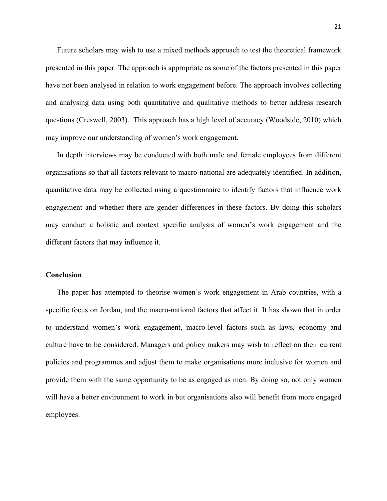Future scholars may wish to use a mixed methods approach to test the theoretical framework presented in this paper. The approach is appropriate as some of the factors presented in this paper have not been analysed in relation to work engagement before. The approach involves collecting and analysing data using both quantitative and qualitative methods to better address research questions (Creswell, 2003). This approach has a high level of accuracy (Woodside, 2010) which may improve our understanding of women's work engagement.

In depth interviews may be conducted with both male and female employees from different organisations so that all factors relevant to macro-national are adequately identified. In addition, quantitative data may be collected using a questionnaire to identify factors that influence work engagement and whether there are gender differences in these factors. By doing this scholars may conduct a holistic and context specific analysis of women's work engagement and the different factors that may influence it.

# **Conclusion**

The paper has attempted to theorise women's work engagement in Arab countries, with a specific focus on Jordan, and the macro-national factors that affect it. It has shown that in order to understand women's work engagement, macro-level factors such as laws, economy and culture have to be considered. Managers and policy makers may wish to reflect on their current policies and programmes and adjust them to make organisations more inclusive for women and provide them with the same opportunity to be as engaged as men. By doing so, not only women will have a better environment to work in but organisations also will benefit from more engaged employees.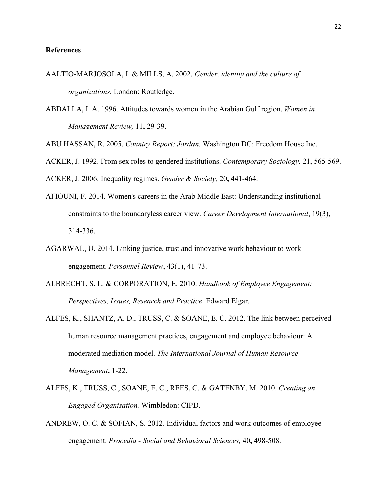#### **References**

- AALTIO-MARJOSOLA, I. & MILLS, A. 2002. *Gender, identity and the culture of organizations.* London: Routledge.
- ABDALLA, I. A. 1996. Attitudes towards women in the Arabian Gulf region. *Women in Management Review,* 11**,** 29-39.
- ABU HASSAN, R. 2005. *Country Report: Jordan.* Washington DC: Freedom House Inc.
- ACKER, J. 1992. From sex roles to gendered institutions. *Contemporary Sociology,* 21, 565-569.

ACKER, J. 2006. Inequality regimes. *Gender & Society,* 20**,** 441-464.

- AFIOUNI, F. 2014. Women's careers in the Arab Middle East: Understanding institutional constraints to the boundaryless career view. *Career Development International*, 19(3), 314-336.
- AGARWAL, U. 2014. Linking justice, trust and innovative work behaviour to work engagement. *Personnel Review*, 43(1), 41-73.
- ALBRECHT, S. L. & CORPORATION, E. 2010. *Handbook of Employee Engagement: Perspectives, Issues, Research and Practice*. Edward Elgar.
- ALFES, K., SHANTZ, A. D., TRUSS, C. & SOANE, E. C. 2012. The link between perceived human resource management practices, engagement and employee behaviour: A moderated mediation model. *The International Journal of Human Resource Management***,** 1-22.
- ALFES, K., TRUSS, C., SOANE, E. C., REES, C. & GATENBY, M. 2010. *Creating an Engaged Organisation.* Wimbledon: CIPD.
- ANDREW, O. C. & SOFIAN, S. 2012. Individual factors and work outcomes of employee engagement. *Procedia - Social and Behavioral Sciences,* 40**,** 498-508.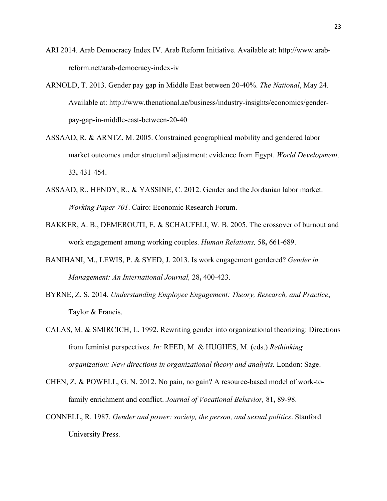- ARI 2014. Arab Democracy Index IV. Arab Reform Initiative. Available at: http://www.arabreform.net/arab-democracy-index-iv
- ARNOLD, T. 2013. Gender pay gap in Middle East between 20-40%. *The National*, May 24. Available at: http://www.thenational.ae/business/industry-insights/economics/genderpay-gap-in-middle-east-between-20-40
- ASSAAD, R. & ARNTZ, M. 2005. Constrained geographical mobility and gendered labor market outcomes under structural adjustment: evidence from Egypt. *World Development,* 33**,** 431-454.
- ASSAAD, R., HENDY, R., & YASSINE, C. 2012. Gender and the Jordanian labor market. *Working Paper 701*. Cairo: Economic Research Forum.
- BAKKER, A. B., DEMEROUTI, E. & SCHAUFELI, W. B. 2005. The crossover of burnout and work engagement among working couples. *Human Relations,* 58**,** 661-689.
- BANIHANI, M., LEWIS, P. & SYED, J. 2013. Is work engagement gendered? *Gender in Management: An International Journal,* 28**,** 400-423.
- BYRNE, Z. S. 2014. *Understanding Employee Engagement: Theory, Research, and Practice*, Taylor & Francis.
- CALAS, M. & SMIRCICH, L. 1992. Rewriting gender into organizational theorizing: Directions from feminist perspectives. *In:* REED, M. & HUGHES, M. (eds.) *Rethinking organization: New directions in organizational theory and analysis.* London: Sage.
- CHEN, Z. & POWELL, G. N. 2012. No pain, no gain? A resource-based model of work-tofamily enrichment and conflict. *Journal of Vocational Behavior,* 81**,** 89-98.
- CONNELL, R. 1987. *Gender and power: society, the person, and sexual politics*. Stanford University Press.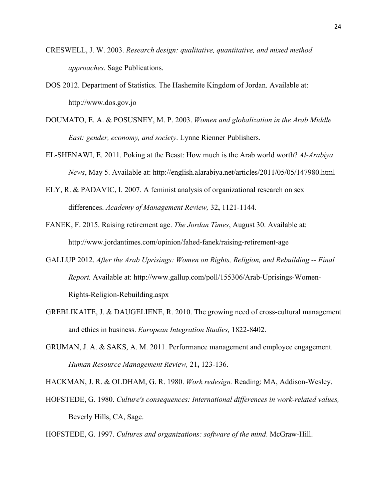- CRESWELL, J. W. 2003. *Research design: qualitative, quantitative, and mixed method approaches*. Sage Publications.
- DOS 2012. Department of Statistics. The Hashemite Kingdom of Jordan. Available at: http://www.dos.gov.jo
- DOUMATO, E. A. & POSUSNEY, M. P. 2003. *Women and globalization in the Arab Middle East: gender, economy, and society*. Lynne Rienner Publishers.
- EL-SHENAWI, E. 2011. Poking at the Beast: How much is the Arab world worth? *Al-Arabiya News*, May 5. Available at: http://english.alarabiya.net/articles/2011/05/05/147980.html
- ELY, R. & PADAVIC, I. 2007. A feminist analysis of organizational research on sex differences. *Academy of Management Review,* 32**,** 1121-1144.
- FANEK, F. 2015. Raising retirement age. *The Jordan Times*, August 30. Available at: http://www.jordantimes.com/opinion/fahed-fanek/raising-retirement-age
- GALLUP 2012. *After the Arab Uprisings: Women on Rights, Religion, and Rebuilding -- Final Report.* Available at: http://www.gallup.com/poll/155306/Arab-Uprisings-Women-Rights-Religion-Rebuilding.aspx
- GREBLIKAITE, J. & DAUGELIENE, R. 2010. The growing need of cross-cultural management and ethics in business. *European Integration Studies,* 1822-8402.
- GRUMAN, J. A. & SAKS, A. M. 2011. Performance management and employee engagement. *Human Resource Management Review,* 21**,** 123-136.

HACKMAN, J. R. & OLDHAM, G. R. 1980. *Work redesign.* Reading: MA, Addison-Wesley.

HOFSTEDE, G. 1980. *Culture's consequences: International differences in work-related values,*  Beverly Hills, CA, Sage.

HOFSTEDE, G. 1997. *Cultures and organizations: software of the mind*. McGraw-Hill.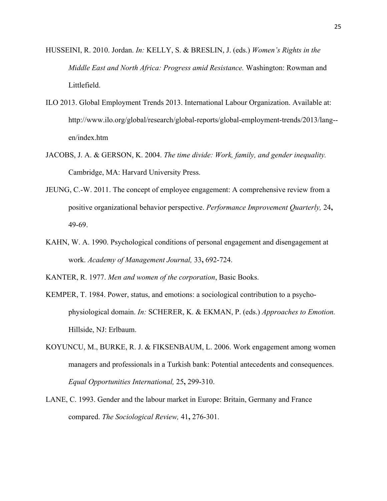- HUSSEINI, R. 2010. Jordan. *In:* KELLY, S. & BRESLIN, J. (eds.) *Women's Rights in the Middle East and North Africa: Progress amid Resistance.* Washington: Rowman and Littlefield.
- ILO 2013. Global Employment Trends 2013. International Labour Organization. Available at: http://www.ilo.org/global/research/global-reports/global-employment-trends/2013/lang- en/index.htm
- JACOBS, J. A. & GERSON, K. 2004. *The time divide: Work, family, and gender inequality.* Cambridge, MA: Harvard University Press.
- JEUNG, C.-W. 2011. The concept of employee engagement: A comprehensive review from a positive organizational behavior perspective. *Performance Improvement Quarterly,* 24**,** 49-69.
- KAHN, W. A. 1990. Psychological conditions of personal engagement and disengagement at work. *Academy of Management Journal,* 33**,** 692-724.

KANTER, R. 1977. *Men and women of the corporation*, Basic Books.

- KEMPER, T. 1984. Power, status, and emotions: a sociological contribution to a psychophysiological domain. *In:* SCHERER, K. & EKMAN, P. (eds.) *Approaches to Emotion.* Hillside, NJ: Erlbaum.
- KOYUNCU, M., BURKE, R. J. & FIKSENBAUM, L. 2006. Work engagement among women managers and professionals in a Turkish bank: Potential antecedents and consequences. *Equal Opportunities International,* 25**,** 299-310.
- LANE, C. 1993. Gender and the labour market in Europe: Britain, Germany and France compared. *The Sociological Review,* 41**,** 276-301.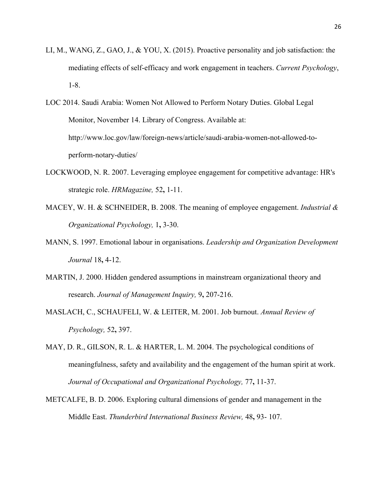- LI, M., WANG, Z., GAO, J., & YOU, X. (2015). Proactive personality and job satisfaction: the mediating effects of self-efficacy and work engagement in teachers. *Current Psychology*, 1-8.
- LOC 2014. Saudi Arabia: Women Not Allowed to Perform Notary Duties. Global Legal Monitor, November 14. Library of Congress. Available at: http://www.loc.gov/law/foreign-news/article/saudi-arabia-women-not-allowed-toperform-notary-duties/
- LOCKWOOD, N. R. 2007. Leveraging employee engagement for competitive advantage: HR's strategic role. *HRMagazine,* 52**,** 1-11.
- MACEY, W. H. & SCHNEIDER, B. 2008. The meaning of employee engagement. *Industrial & Organizational Psychology,* 1**,** 3-30.
- MANN, S. 1997. Emotional labour in organisations. *Leadership and Organization Development Journal* 18**,** 4-12.
- MARTIN, J. 2000. Hidden gendered assumptions in mainstream organizational theory and research. *Journal of Management Inquiry,* 9**,** 207-216.
- MASLACH, C., SCHAUFELI, W. & LEITER, M. 2001. Job burnout. *Annual Review of Psychology,* 52**,** 397.
- MAY, D. R., GILSON, R. L. & HARTER, L. M. 2004. The psychological conditions of meaningfulness, safety and availability and the engagement of the human spirit at work. *Journal of Occupational and Organizational Psychology,* 77**,** 11-37.
- METCALFE, B. D. 2006. Exploring cultural dimensions of gender and management in the Middle East. *Thunderbird International Business Review,* 48**,** 93- 107.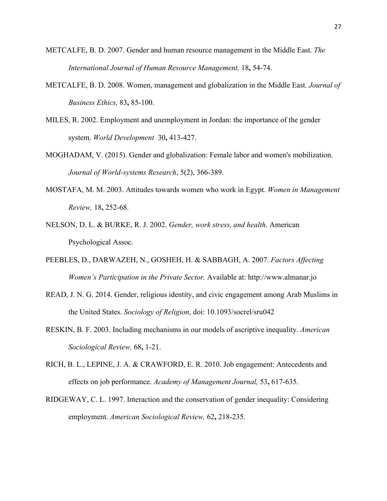- METCALFE, B. D. 2007. Gender and human resource management in the Middle East. *The International Journal of Human Resource Management,* 18**,** 54-74.
- METCALFE, B. D. 2008. Women, management and globalization in the Middle East. *Journal of Business Ethics,* 83**,** 85-100.
- MILES, R. 2002. Employment and unemployment in Jordan: the importance of the gender system. *World Development* 30**,** 413-427.
- MOGHADAM, V. (2015). Gender and globalization: Female labor and women's mobilization. *Journal of World-systems Research*, 5(2), 366-389.
- MOSTAFA, M. M. 2003. Attitudes towards women who work in Egypt. *Women in Management Review,* 18**,** 252-68.
- NELSON, D. L. & BURKE, R. J. 2002. *Gender, work stress, and health*. American Psychological Assoc.
- PEEBLES, D., DARWAZEH, N., GOSHEH, H. & SABBAGH, A. 2007. *Factors Affecting Women's Participation in the Private Sector.* Available at: http://www.almanar.jo
- READ, J. N. G. 2014. Gender, religious identity, and civic engagement among Arab Muslims in the United States. *Sociology of Religion*, doi: 10.1093/socrel/sru042
- RESKIN, B. F. 2003. Including mechanisms in our models of ascriptive inequality. *American Sociological Review,* 68**,** 1-21.
- RICH, B. L., LEPINE, J. A. & CRAWFORD, E. R. 2010. Job engagement: Antecedents and effects on job performance. *Academy of Management Journal,* 53**,** 617-635.
- RIDGEWAY, C. L. 1997. Interaction and the conservation of gender inequality: Considering employment. *American Sociological Review,* 62**,** 218-235.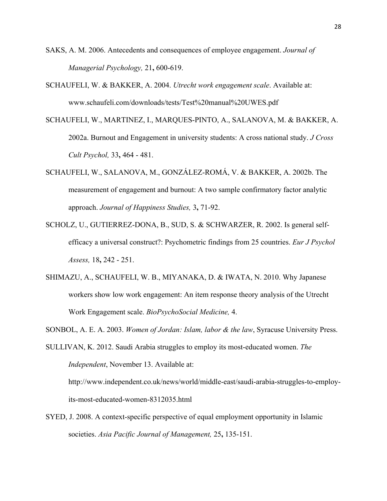- SAKS, A. M. 2006. Antecedents and consequences of employee engagement. *Journal of Managerial Psychology,* 21**,** 600-619.
- SCHAUFELI, W. & BAKKER, A. 2004. *Utrecht work engagement scale*. Available at: www.schaufeli.com/downloads/tests/Test%20manual%20UWES.pdf
- SCHAUFELI, W., MARTINEZ, I., MARQUES-PINTO, A., SALANOVA, M. & BAKKER, A. 2002a. Burnout and Engagement in university students: A cross national study. *J Cross Cult Psychol,* 33**,** 464 - 481.
- SCHAUFELI, W., SALANOVA, M., GONZÁLEZ-ROMÁ, V. & BAKKER, A. 2002b. The measurement of engagement and burnout: A two sample confirmatory factor analytic approach. *Journal of Happiness Studies,* 3**,** 71-92.
- SCHOLZ, U., GUTIERREZ-DONA, B., SUD, S. & SCHWARZER, R. 2002. Is general selfefficacy a universal construct?: Psychometric findings from 25 countries. *Eur J Psychol Assess,* 18**,** 242 - 251.
- SHIMAZU, A., SCHAUFELI, W. B., MIYANAKA, D. & IWATA, N. 2010. Why Japanese workers show low work engagement: An item response theory analysis of the Utrecht Work Engagement scale. *BioPsychoSocial Medicine,* 4.
- SONBOL, A. E. A. 2003. *Women of Jordan: Islam, labor & the law*, Syracuse University Press.

SULLIVAN, K. 2012. Saudi Arabia struggles to employ its most-educated women. *The Independent*, November 13. Available at:

http://www.independent.co.uk/news/world/middle-east/saudi-arabia-struggles-to-employits-most-educated-women-8312035.html

SYED, J. 2008. A context-specific perspective of equal employment opportunity in Islamic societies. *Asia Pacific Journal of Management,* 25**,** 135-151.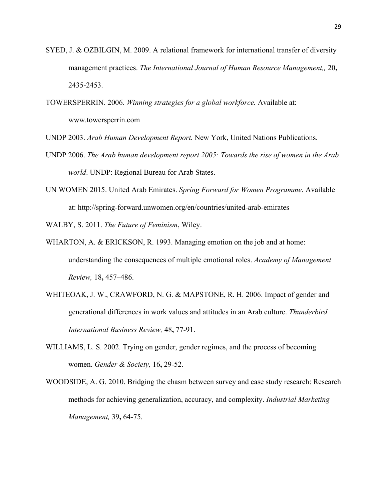- SYED, J. & OZBILGIN, M. 2009. A relational framework for international transfer of diversity management practices. *The International Journal of Human Resource Management,,* 20**,** 2435-2453.
- TOWERSPERRIN. 2006. *Winning strategies for a global workforce.* Available at: www.towersperrin.com

UNDP 2003. *Arab Human Development Report.* New York, United Nations Publications.

- UNDP 2006. *The Arab human development report 2005: Towards the rise of women in the Arab world*. UNDP: Regional Bureau for Arab States.
- UN WOMEN 2015. United Arab Emirates. *Spring Forward for Women Programme*. Available at: http://spring-forward.unwomen.org/en/countries/united-arab-emirates

WALBY, S. 2011. *The Future of Feminism*, Wiley.

- WHARTON, A. & ERICKSON, R. 1993. Managing emotion on the job and at home: understanding the consequences of multiple emotional roles. *Academy of Management Review,* 18**,** 457–486.
- WHITEOAK, J. W., CRAWFORD, N. G. & MAPSTONE, R. H. 2006. Impact of gender and generational differences in work values and attitudes in an Arab culture. *Thunderbird International Business Review,* 48**,** 77-91.
- WILLIAMS, L. S. 2002. Trying on gender, gender regimes, and the process of becoming women. *Gender & Society,* 16**,** 29-52.
- WOODSIDE, A. G. 2010. Bridging the chasm between survey and case study research: Research methods for achieving generalization, accuracy, and complexity. *Industrial Marketing Management,* 39**,** 64-75.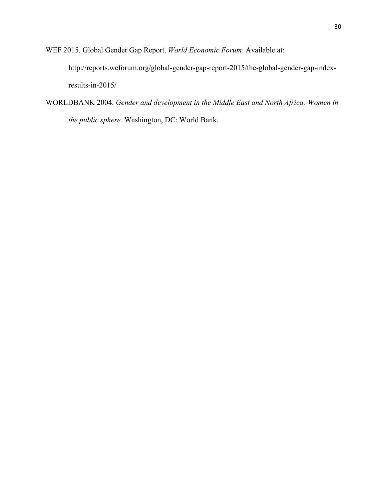WEF 2015. Global Gender Gap Report. *World Economic Forum*. Available at:

http://reports.weforum.org/global-gender-gap-report-2015/the-global-gender-gap-indexresults-in-2015/

WORLDBANK 2004. *Gender and development in the Middle East and North Africa: Women in the public sphere.* Washington, DC: World Bank.